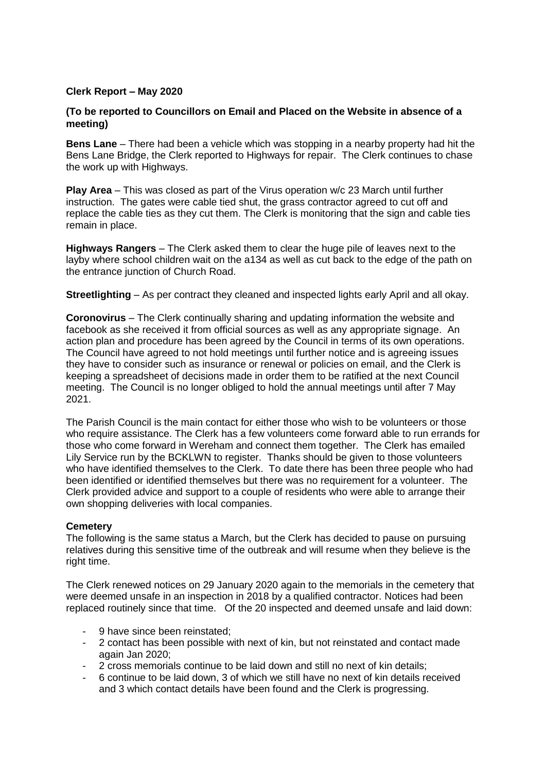## **Clerk Report – May 2020**

## **(To be reported to Councillors on Email and Placed on the Website in absence of a meeting)**

**Bens Lane** – There had been a vehicle which was stopping in a nearby property had hit the Bens Lane Bridge, the Clerk reported to Highways for repair. The Clerk continues to chase the work up with Highways.

**Play Area** – This was closed as part of the Virus operation w/c 23 March until further instruction. The gates were cable tied shut, the grass contractor agreed to cut off and replace the cable ties as they cut them. The Clerk is monitoring that the sign and cable ties remain in place.

**Highways Rangers** – The Clerk asked them to clear the huge pile of leaves next to the layby where school children wait on the a134 as well as cut back to the edge of the path on the entrance junction of Church Road.

**Streetlighting** – As per contract they cleaned and inspected lights early April and all okay.

**Coronovirus** – The Clerk continually sharing and updating information the website and facebook as she received it from official sources as well as any appropriate signage. An action plan and procedure has been agreed by the Council in terms of its own operations. The Council have agreed to not hold meetings until further notice and is agreeing issues they have to consider such as insurance or renewal or policies on email, and the Clerk is keeping a spreadsheet of decisions made in order them to be ratified at the next Council meeting. The Council is no longer obliged to hold the annual meetings until after 7 May 2021.

The Parish Council is the main contact for either those who wish to be volunteers or those who require assistance. The Clerk has a few volunteers come forward able to run errands for those who come forward in Wereham and connect them together. The Clerk has emailed Lily Service run by the BCKLWN to register. Thanks should be given to those volunteers who have identified themselves to the Clerk. To date there has been three people who had been identified or identified themselves but there was no requirement for a volunteer. The Clerk provided advice and support to a couple of residents who were able to arrange their own shopping deliveries with local companies.

## **Cemetery**

The following is the same status a March, but the Clerk has decided to pause on pursuing relatives during this sensitive time of the outbreak and will resume when they believe is the right time.

The Clerk renewed notices on 29 January 2020 again to the memorials in the cemetery that were deemed unsafe in an inspection in 2018 by a qualified contractor. Notices had been replaced routinely since that time. Of the 20 inspected and deemed unsafe and laid down:

- 9 have since been reinstated;
- 2 contact has been possible with next of kin, but not reinstated and contact made again Jan 2020;
- 2 cross memorials continue to be laid down and still no next of kin details;
- 6 continue to be laid down, 3 of which we still have no next of kin details received and 3 which contact details have been found and the Clerk is progressing.